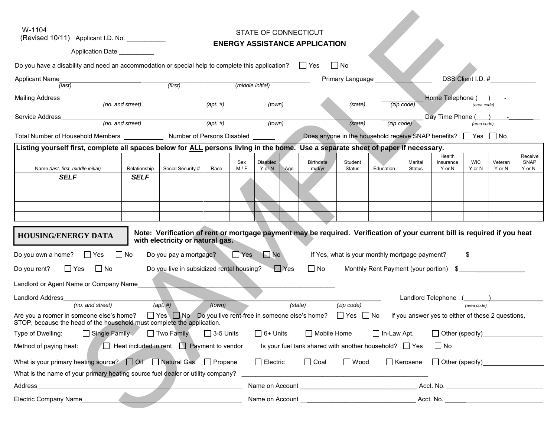| W-1104<br>STATE OF CONNECTICUT<br>(Revised 10/11) Applicant I.D. No. ___________                                                                                                                                                                                                               |  |  |  |  |  |
|------------------------------------------------------------------------------------------------------------------------------------------------------------------------------------------------------------------------------------------------------------------------------------------------|--|--|--|--|--|
| <b>ENERGY ASSISTANCE APPLICATION</b><br>Application Date                                                                                                                                                                                                                                       |  |  |  |  |  |
|                                                                                                                                                                                                                                                                                                |  |  |  |  |  |
| Do you have a disability and need an accommodation or special help to complete this application? $\Box$ Yes<br>│ No                                                                                                                                                                            |  |  |  |  |  |
| DSS Client I.D. #<br>Primary Language _<br>Applicant Name<br>(first)<br>(middle initial)<br>(last)                                                                                                                                                                                             |  |  |  |  |  |
| Home Telephone ( ) -<br>Mailing Address                                                                                                                                                                                                                                                        |  |  |  |  |  |
| (no. and street)<br>(apt.  #)<br>(town)<br>(zip code)<br>(state)<br>(area code)                                                                                                                                                                                                                |  |  |  |  |  |
| Day Time Phone () - Phone<br>(no. and street)<br>(apt.  #)<br>(town)<br>(zip code)<br>(state)<br>(area code)                                                                                                                                                                                   |  |  |  |  |  |
| Does anyone in the household receive SNAP benefits? $\Box$ Yes $\Box$ No<br>Total Number of Household Members _______________ Number of Persons Disabled _______                                                                                                                               |  |  |  |  |  |
| Listing yourself first, complete all spaces below for ALL persons living in the home. Use a separate sheet of paper if necessary.                                                                                                                                                              |  |  |  |  |  |
| Health<br>Receive<br><b>Disabled</b><br>Sex<br><b>Birthdate</b><br>Student<br>Marital<br><b>WIC</b><br><b>SNAP</b><br>Insurance<br>Veteran                                                                                                                                                     |  |  |  |  |  |
| Social Security #<br>Name (last, first, middle initial)<br>Relationship<br>Race<br>M/F<br>Y or N<br>m/d/yr<br>Status<br>Education<br>Y or N<br><b>Status</b><br>Y or N<br>Y or N<br>Y or N<br>Age<br><b>SELF</b><br><b>SELF</b>                                                                |  |  |  |  |  |
|                                                                                                                                                                                                                                                                                                |  |  |  |  |  |
|                                                                                                                                                                                                                                                                                                |  |  |  |  |  |
|                                                                                                                                                                                                                                                                                                |  |  |  |  |  |
|                                                                                                                                                                                                                                                                                                |  |  |  |  |  |
| Note: Verification of rent or mortgage payment may be required. Verification of your current bill is required if you heat<br><b>HOUSING/ENERGY DATA</b><br>with electricity or natural gas.                                                                                                    |  |  |  |  |  |
| $\Box$ Yes<br>$\Box$ No<br>Do you own a home?<br>$\Box$ Yes<br>$\Box$ No<br>Do you pay a mortgage?<br>If Yes, what is your monthly mortgage payment?                                                                                                                                           |  |  |  |  |  |
| $\Box$ No<br>$\square$ Yes<br>$\Box$ No                                                                                                                                                                                                                                                        |  |  |  |  |  |
| Do you live in subsidized rental housing?<br>Do you rent?<br>$\Box$ Yes<br>Monthly Rent Payment (your portion) \$                                                                                                                                                                              |  |  |  |  |  |
| Landlord or Agent Name or Company Name_                                                                                                                                                                                                                                                        |  |  |  |  |  |
| Landlord Address<br>Landlord Telephone (<br>(no. and street)<br>$(\textit{apt. #})$<br>(town)<br>(state)<br>(zip code)<br>(area code)                                                                                                                                                          |  |  |  |  |  |
| $\Box$ Yes $\Box$ No $\Box$ Do you live rent-free in someone else's home? $\Box$ Yes $\Box$ No<br>Are you a roomer in someone else's home?<br>If you answer yes to either of these 2 questions,<br>STOP, because the head of the household must complete the application.                      |  |  |  |  |  |
| $\Box$ 3-5 Units<br>Single Family<br>Two Family<br>$\Box$ 6+ Units<br>Mobile Home<br>$\Box$ In-Law Apt.<br>Other (specify)<br><u>Other (specify)</u><br>Type of Dwelling:                                                                                                                      |  |  |  |  |  |
| $\Box$ Heat included in rent $\Box$ Payment to vendor<br>Is your fuel tank shared with another household? $\Box$ Yes<br>$\Box$ No<br>Method of paying heat:                                                                                                                                    |  |  |  |  |  |
| What is your primary heating source? $\Box$ Oil $\Box$ Natural Gas $\Box$ Propane<br>$\Box$ Electric<br>$\Box$ Wood<br>$\Box$ Kerosene<br>$\Box$ Coal<br>Other (specify)____________________                                                                                                   |  |  |  |  |  |
| What is the name of your primary heating source fuel dealer or utility company?                                                                                                                                                                                                                |  |  |  |  |  |
| Acct. No. _________________________________<br>Address<br>Name on Account <u>example and the series of the series of the series of the series of the series of the series of the series of the series of the series of the series of the series of the series of the series of the series </u> |  |  |  |  |  |
| Electric Company Name<br>Name on Account example and the set of the Account of Account Account and Account and Account and Account and Account and Account and Account and Account and Account and Account and Account and Account and Account and Acco                                        |  |  |  |  |  |
|                                                                                                                                                                                                                                                                                                |  |  |  |  |  |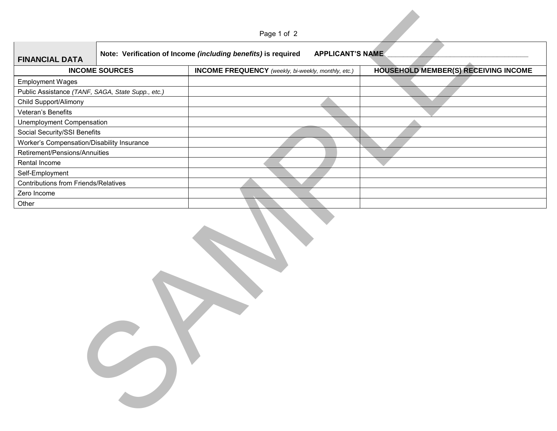|                                                                                                                   |                       | Page 1 of 2                                                |  |                                             |  |
|-------------------------------------------------------------------------------------------------------------------|-----------------------|------------------------------------------------------------|--|---------------------------------------------|--|
| Note: Verification of Income (including benefits) is required<br><b>APPLICANT'S NAME</b><br><b>FINANCIAL DATA</b> |                       |                                                            |  |                                             |  |
|                                                                                                                   | <b>INCOME SOURCES</b> | <b>INCOME FREQUENCY</b> (weekly, bi-weekly, monthly, etc.) |  | <b>HOUSEHOLD MEMBER(S) RECEIVING INCOME</b> |  |
| <b>Employment Wages</b>                                                                                           |                       |                                                            |  |                                             |  |
| Public Assistance (TANF, SAGA, State Supp., etc.)                                                                 |                       |                                                            |  |                                             |  |
| Child Support/Alimony                                                                                             |                       |                                                            |  |                                             |  |
| Veteran's Benefits                                                                                                |                       |                                                            |  |                                             |  |
| <b>Unemployment Compensation</b>                                                                                  |                       |                                                            |  |                                             |  |
| Social Security/SSI Benefits                                                                                      |                       |                                                            |  |                                             |  |
| Worker's Compensation/Disability Insurance                                                                        |                       |                                                            |  |                                             |  |
| Retirement/Pensions/Annuities                                                                                     |                       |                                                            |  |                                             |  |
| Rental Income                                                                                                     |                       |                                                            |  |                                             |  |
| Self-Employment                                                                                                   |                       |                                                            |  |                                             |  |
| <b>Contributions from Friends/Relatives</b>                                                                       |                       |                                                            |  |                                             |  |
| Zero Income                                                                                                       |                       |                                                            |  |                                             |  |
| Other                                                                                                             |                       |                                                            |  |                                             |  |
|                                                                                                                   |                       |                                                            |  |                                             |  |

Page 1 of 2